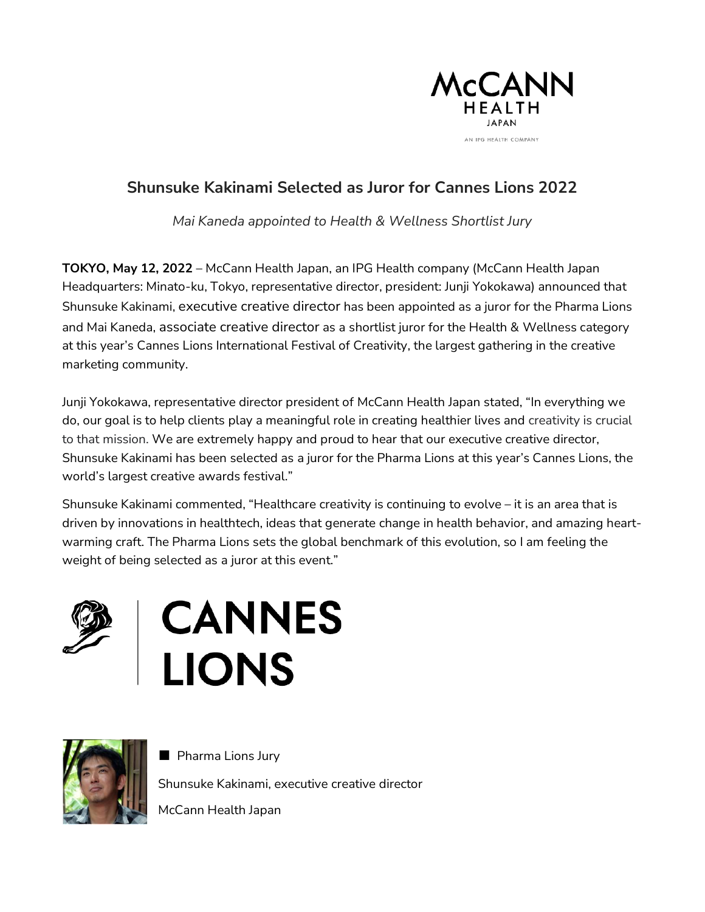

## **Shunsuke Kakinami Selected as Juror for Cannes Lions 2022**

*Mai Kaneda appointed to Health & Wellness Shortlist Jury*

**TOKYO, May 12, 2022** – McCann Health Japan, an IPG Health company (McCann Health Japan Headquarters: Minato-ku, Tokyo, representative director, president: Junji Yokokawa) announced that Shunsuke Kakinami, executive creative director has been appointed as a juror for the Pharma Lions and Mai Kaneda, associate creative director as a shortlist juror for the Health & Wellness category at this year's Cannes Lions International Festival of Creativity, the largest gathering in the creative marketing community.

Junji Yokokawa, representative director president of McCann Health Japan stated, "In everything we do, our goal is to help clients play a meaningful role in creating healthier lives and creativity is crucial to that mission. We are extremely happy and proud to hear that our executive creative director, Shunsuke Kakinami has been selected as a juror for the Pharma Lions at this year's Cannes Lions, the world's largest creative awards festival."

Shunsuke Kakinami commented, "Healthcare creativity is continuing to evolve – it is an area that is driven by innovations in healthtech, ideas that generate change in health behavior, and amazing heartwarming craft. The Pharma Lions sets the global benchmark of this evolution, so I am feeling the weight of being selected as a juror at this event."



## **CANNES<br>LIONS**



■ Pharma Lions Jury Shunsuke Kakinami, executive creative director McCann Health Japan